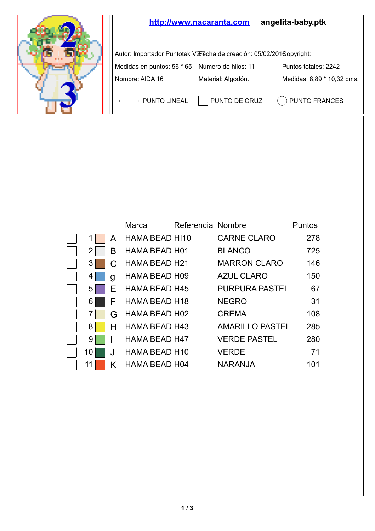

|                |   | Marca                | Referencia Nombre |                        | Puntos |
|----------------|---|----------------------|-------------------|------------------------|--------|
| 1 <sup>1</sup> | А | HAMA BEAD HI10       |                   | <b>CARNE CLARO</b>     | 278    |
| 2 <sup>1</sup> | в | <b>HAMA BEAD H01</b> |                   | <b>BLANCO</b>          | 725    |
| 3              |   | HAMA BEAD H21        |                   | <b>MARRON CLARO</b>    | 146    |
| 4              | g | <b>HAMA BEAD H09</b> |                   | <b>AZUL CLARO</b>      | 150    |
| 5              | F | <b>HAMA BEAD H45</b> |                   | <b>PURPURA PASTEL</b>  | 67     |
| 6              | F | <b>HAMA BEAD H18</b> |                   | <b>NEGRO</b>           | 31     |
| 7              | G | <b>HAMA BEAD H02</b> |                   | <b>CREMA</b>           | 108    |
| 8              | н | <b>HAMA BEAD H43</b> |                   | <b>AMARILLO PASTEL</b> | 285    |
| 9              |   | <b>HAMA BEAD H47</b> |                   | <b>VERDE PASTEL</b>    | 280    |
| 10 l           | J | <b>HAMA BEAD H10</b> |                   | <b>VERDE</b>           | 71     |
| 11             | κ | <b>HAMA BEAD H04</b> |                   | <b>NARANJA</b>         | 101    |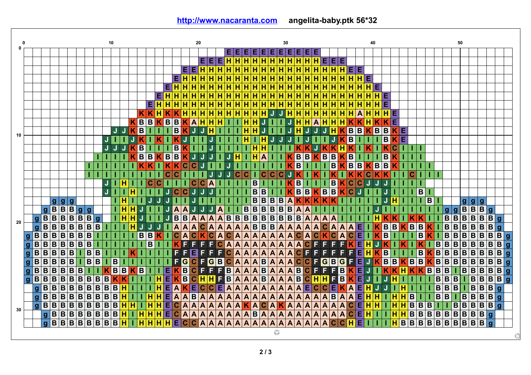|    |                                                 |                                  |                         |                                                           |                         |                                                    |                         |                                                                                                     | 10                      |                  |                              |                              |                         |                  |                         |                         |                                     |                         | 20                      |                         |                         |                               |                         |                                                              |                         |                                                                         |                                                                                                                        |                         | 30                         |                         |                               |                           |                         |                         |                                                    |                         |                | 40                      |                         |                         |         |                         |                         |                                                                                                      |                         |                                                                                                      | 50                      |                              |                         |                         |                |              |
|----|-------------------------------------------------|----------------------------------|-------------------------|-----------------------------------------------------------|-------------------------|----------------------------------------------------|-------------------------|-----------------------------------------------------------------------------------------------------|-------------------------|------------------|------------------------------|------------------------------|-------------------------|------------------|-------------------------|-------------------------|-------------------------------------|-------------------------|-------------------------|-------------------------|-------------------------|-------------------------------|-------------------------|--------------------------------------------------------------|-------------------------|-------------------------------------------------------------------------|------------------------------------------------------------------------------------------------------------------------|-------------------------|----------------------------|-------------------------|-------------------------------|---------------------------|-------------------------|-------------------------|----------------------------------------------------|-------------------------|----------------|-------------------------|-------------------------|-------------------------|---------|-------------------------|-------------------------|------------------------------------------------------------------------------------------------------|-------------------------|------------------------------------------------------------------------------------------------------|-------------------------|------------------------------|-------------------------|-------------------------|----------------|--------------|
|    |                                                 |                                  |                         |                                                           |                         |                                                    |                         |                                                                                                     |                         |                  |                              |                              |                         |                  |                         |                         |                                     |                         |                         |                         |                         |                               | EIE                     | н                                                            | IE.                     |                                                                         | EE                                                                                                                     | EI                      | E                          | Е.                      | EE                            |                           |                         |                         |                                                    |                         |                |                         |                         |                         |         |                         |                         |                                                                                                      |                         |                                                                                                      |                         |                              |                         |                         |                |              |
|    |                                                 |                                  |                         |                                                           |                         |                                                    |                         |                                                                                                     |                         |                  |                              |                              |                         |                  |                         |                         |                                     |                         |                         | EEI                     | Е                       | Н                             | н                       | н                                                            | Iн                      | н                                                                       | н                                                                                                                      | H                       | $\overline{\mathsf{H}}$    | н                       |                               |                           | $H$ $H$ $E$ $E$ $E$     |                         |                                                    |                         |                |                         |                         |                         |         |                         |                         |                                                                                                      |                         |                                                                                                      |                         |                              |                         |                         |                |              |
|    |                                                 |                                  |                         |                                                           |                         |                                                    |                         |                                                                                                     |                         |                  |                              |                              |                         |                  |                         |                         |                                     | EE                      | н                       | н                       | н                       | н                             | н                       | Н                                                            | н                       | н                                                                       | н                                                                                                                      | н                       | Н                          | н                       | $\overline{H}$                | н                         | н                       | н                       | HEE                                                |                         |                |                         |                         |                         |         |                         |                         |                                                                                                      |                         |                                                                                                      |                         |                              |                         |                         |                |              |
|    |                                                 |                                  |                         |                                                           |                         |                                                    |                         |                                                                                                     |                         |                  |                              |                              |                         |                  |                         |                         | н<br>E                              | н                       | н                       |                         |                         | н                             | н                       | н                                                            |                         | н                                                                       | н                                                                                                                      |                         | н                          | н                       | Н                             | н                         | н                       | н                       | H                                                  | н                       | E              |                         |                         |                         |         |                         |                         |                                                                                                      |                         |                                                                                                      |                         |                              |                         |                         |                |              |
|    |                                                 |                                  |                         |                                                           |                         |                                                    |                         |                                                                                                     |                         |                  |                              |                              |                         |                  | E                       | н                       | $\overline{H}$                      | $\overline{\mathbf{H}}$ | H                       | Ħ                       | н                       | $\overline{H}$                | $\overline{H}$          | $\overline{H}$                                               | $\overline{H}$          | н                                                                       | H                                                                                                                      | н                       | $\overline{H}$             | $\overline{H}$          |                               | $\overline{H}$            | $\overline{H}$          | $\overline{H}$          | $\overline{H}$<br>н                                | $\overline{H}$          | $\overline{H}$ | E                       |                         |                         |         |                         |                         |                                                                                                      |                         |                                                                                                      |                         |                              |                         |                         |                |              |
|    |                                                 |                                  |                         |                                                           |                         |                                                    |                         |                                                                                                     |                         |                  |                              |                              |                         | EI               | $\overline{\mathsf{H}}$ | н                       | $\overline{\mathbf{H}}$             | н                       | $\overline{H}$          | н                       | н                       | $\overline{\mathbf{H}}$       | н                       | $\overline{H}$                                               | Ή                       | $\overline{\mathsf{H}}$                                                 | $\overline{\mathsf{H}}$                                                                                                | н                       | $\overline{\mathbf{H}}$    | н                       | $\frac{H}{H}$                 | $\overline{\mathsf{H}}$   | $\overline{H}$          | $\overline{\mathbf{H}}$ | $\overline{H}$<br>н                                | н                       | $\overline{H}$ |                         | <b>HE</b>               |                         |         |                         |                         |                                                                                                      |                         |                                                                                                      |                         |                              |                         |                         |                |              |
|    |                                                 |                                  |                         |                                                           |                         |                                                    |                         |                                                                                                     |                         |                  |                              |                              | E                       | н                | н                       | н                       | н                                   | н                       | н                       | н                       | н                       | н                             | н                       | Η                                                            | н                       | н                                                                       | н                                                                                                                      | н                       | $\overline{H}$             | н                       | H                             | н                         | н                       | H                       | Н<br>н                                             | н                       | н              | н                       | E                       |                         |         |                         |                         |                                                                                                      |                         |                                                                                                      |                         |                              |                         |                         |                |              |
|    |                                                 |                                  |                         |                                                           |                         |                                                    |                         |                                                                                                     |                         |                  |                              |                              | $K$ $K$                 | н                | $\overline{\mathsf{K}}$ |                         | $\overline{H}$                      | $\overline{\mathbf{H}}$ | $\overline{H}$          | н                       | н                       | $\overline{H}$                | н                       | $\overline{\mathbf{H}}$                                      | ĪΗ                      | $\overline{H}$                                                          | IJ                                                                                                                     | J                       | $\overline{H}$             | $\overline{\mathsf{H}}$ | $\overline{\mathbf{H}}$       | $\overline{\mathbf{H}}$   | $\overline{H}$          | $\overline{\mathbf{H}}$ | $\overline{\mathbf{H}}$<br>н                       | $\overline{A}$          | $\overline{H}$ | π                       | $H \mid E$              |                         |         |                         |                         |                                                                                                      |                         |                                                                                                      |                         |                              |                         |                         |                |              |
|    |                                                 |                                  |                         |                                                           |                         |                                                    |                         |                                                                                                     |                         |                  |                              | B<br>κ                       | $\overline{\mathbf{B}}$ | K                | B                       | в                       | K                                   | $\overline{A}$          | Η                       | н                       | н                       | ш                             |                         | н                                                            | н                       | J                                                                       | T                                                                                                                      |                         | J                          | н                       | н                             | $\overline{A}$            | н                       | $\overline{\mathbf{H}}$ | K<br>н                                             |                         | н              |                         | $K \vert E$             |                         |         |                         |                         |                                                                                                      |                         |                                                                                                      |                         |                              |                         |                         |                |              |
|    |                                                 |                                  |                         |                                                           |                         |                                                    |                         |                                                                                                     |                         | J                | J                            | $\overline{\mathbf{B}}$<br>Κ |                         |                  |                         | в                       | κ                                   |                         | J                       | н                       |                         |                               |                         | Н                                                            | н                       | J                                                                       |                                                                                                                        |                         | Ĵ                          | H                       | J                             |                           | J                       | н                       | B                                                  | $\overline{B}$          | K              | $\overline{\mathbf{B}}$ | $\overline{B}$          | $K$ $E$                 |         |                         |                         |                                                                                                      |                         |                                                                                                      |                         |                              |                         |                         |                |              |
| 10 |                                                 |                                  |                         |                                                           |                         |                                                    |                         |                                                                                                     | J                       |                  |                              |                              |                         |                  |                         |                         |                                     |                         |                         |                         |                         |                               |                         | н                                                            |                         | $\overline{\mathsf{H}}$                                                 | J                                                                                                                      |                         |                            |                         |                               |                           |                         |                         | $\overline{B}$                                     |                         |                |                         | в                       | K                       | E.      |                         |                         |                                                                                                      |                         |                                                                                                      |                         |                              |                         |                         |                |              |
|    |                                                 |                                  |                         |                                                           |                         |                                                    |                         |                                                                                                     | J,                      | J                |                              | $\overline{B}$               |                         |                  |                         | в                       | κ                                   |                         |                         |                         |                         |                               |                         |                                                              | н                       | н                                                                       |                                                                                                                        |                         |                            |                         | K                             |                           | Κ                       | $\overline{\mathsf{K}}$ | K                                                  |                         |                |                         |                         | Ć                       |         |                         |                         |                                                                                                      |                         |                                                                                                      |                         |                              |                         |                         |                |              |
|    |                                                 |                                  |                         |                                                           |                         |                                                    |                         |                                                                                                     |                         |                  |                              | B                            | $\overline{\mathbf{B}}$ |                  | $K$ B                   | $\overline{B}$          | Κ                                   | J                       |                         |                         |                         | J                             | н                       |                                                              | н                       | A                                                                       |                                                                                                                        |                         | Κ                          | B                       | $\boxed{B}$                   | K                         | $\overline{B}$          | $\overline{B}$          | $\overline{B}$<br>Κ                                |                         |                |                         | В                       | κ                       |         |                         |                         |                                                                                                      |                         |                                                                                                      |                         |                              |                         |                         |                |              |
|    |                                                 |                                  |                         |                                                           |                         |                                                    |                         |                                                                                                     |                         |                  |                              | K                            |                         |                  | K                       | K                       | C                                   | $\overline{\mathbf{c}}$ | J                       |                         |                         | J                             |                         |                                                              |                         |                                                                         |                                                                                                                        |                         | K                          | B                       |                               | т                         |                         | $\overline{\mathbf{B}}$ | $K$ B                                              | B                       |                | $K$ $B$                 | $\overline{B}$          | K                       |         |                         |                         |                                                                                                      |                         |                                                                                                      |                         |                              |                         |                         |                |              |
|    |                                                 |                                  |                         |                                                           |                         |                                                    | T                       |                                                                                                     |                         |                  |                              |                              |                         |                  | $\overline{\mathbf{c}}$ | C                       |                                     |                         |                         | Ū                       | J                       | J,                            | $\mathbf C$             | C                                                            |                         | $\mathbf C$                                                             | $\overline{\mathbf{C}}$                                                                                                | $\mathbf C$             | J                          | K                       |                               | K                         |                         | K                       | $\overline{\mathsf{K}}$                            |                         | $\overline{c}$ | $\overline{\mathsf{K}}$ | Κ                       | ı                       |         | C                       |                         |                                                                                                      |                         |                                                                                                      |                         |                              |                         |                         |                |              |
|    |                                                 |                                  |                         |                                                           |                         |                                                    |                         |                                                                                                     | Ū,                      |                  | н                            |                              |                         | C<br>$\mathbf c$ |                         |                         |                                     | Ċ.                      | C                       | A                       |                         |                               |                         |                                                              | B                       | т                                                                       |                                                                                                                        |                         | K                          | $\overline{B}$          |                               | т                         |                         | $\overline{\mathbf{B}}$ | $\overline{\mathbf{c}}$<br>K                       | $\mathbf C$             | J              |                         |                         |                         |         |                         |                         |                                                                                                      |                         |                                                                                                      |                         |                              |                         |                         |                |              |
|    |                                                 |                                  |                         |                                                           |                         |                                                    |                         |                                                                                                     | J                       |                  |                              | н                            |                         |                  | J                       | $\mathbf C$             | C                                   | J                       | J                       | J                       |                         |                               |                         |                                                              | B                       | $\overline{B}$                                                          |                                                                                                                        |                         | K                          | $\overline{\mathbf{B}}$ |                               | $\overline{\mathsf{K}}$   | B                       |                         | $\overline{\mathbf{c}}$<br>Κ                       |                         |                |                         |                         |                         |         |                         | $\overline{B}$          |                                                                                                      |                         |                                                                                                      |                         |                              |                         |                         |                |              |
|    |                                                 |                                  |                         |                                                           | $\overline{g}$          |                                                    |                         |                                                                                                     |                         |                  | $\overline{\mathbf{H}}$      |                              |                         |                  |                         |                         |                                     |                         |                         |                         |                         |                               |                         |                                                              | $\overline{\mathbf{B}}$ | $\overline{\mathbf{B}}$                                                 |                                                                                                                        |                         |                            | K                       | $\overline{B}$                | $\overline{\mathsf{K}}$   | $\overline{\mathsf{K}}$ |                         |                                                    |                         |                |                         | U                       | $\overline{\mathbf{H}}$ |         |                         |                         | B                                                                                                    |                         |                                                                                                      |                         |                              |                         |                         |                |              |
|    |                                                 |                                  |                         | $\begin{array}{c c}\n\hline\ng & g \\ B & B\n\end{array}$ | $\overline{B}$          | g g                                                |                         |                                                                                                     |                         |                  | Η<br>н                       | J                            |                         |                  |                         | $\overline{\mathsf{A}}$ |                                     |                         | J                       | J                       | A                       |                               |                         |                                                              | $\overline{B}$          |                                                                         | $\begin{array}{ c c } \hline \mathbf{B} \\ \hline \mathbf{B} \end{array}$<br>$\begin{array}{c c}\n\hline\n\end{array}$ |                         | B<br>B<br>B<br>B<br>B<br>B | $\overline{A}$          | $\overline{A}$                | T                         |                         | ı                       |                                                    |                         |                |                         |                         |                         |         |                         |                         |                                                                                                      |                         | $\overline{g}$<br>$\mathbf{g}$                                                                       |                         |                              |                         | g                       |                |              |
|    |                                                 | $\frac{9}{9}$ B                  | $\overline{B}$          | $\overline{B}$                                            | в                       | $\overline{B}$                                     | $\overline{\mathbf{B}}$ | ۱g                                                                                                  |                         |                  | $\overline{\mathbf{H}}$<br>Н | J                            |                         |                  | J                       | $\overline{B}$          | $\frac{A}{B}$                       | $\overline{\mathbf{A}}$ | $\overline{\mathsf{A}}$ | $\overline{\mathbf{A}}$ |                         | $\overline{A}$ $\overline{B}$ | $\overline{\mathbf{B}}$ | $\begin{array}{ c } \hline \text{B} \\ \text{B} \end{array}$ | $\overline{\mathsf{B}}$ |                                                                         |                                                                                                                        |                         |                            | $\overline{B}$          | $\overline{A}$ $\overline{A}$ |                           | $\overline{A A}$        |                         |                                                    |                         |                | $\overline{\mathbf{H}}$ | K                       | Κ                       |         | κ                       |                         |                                                                                                      |                         | B B                                                                                                  |                         |                              |                         | B g                     |                |              |
| 20 |                                                 | $\overline{B}$<br>$\overline{g}$ |                         | $B$ <sub>B</sub>                                          | B                       | $\overline{B}$                                     | B                       | B                                                                                                   |                         |                  |                              | н<br>J                       | J                       | J                |                         | $\overline{A}$          | $\overline{\mathbf{A}}$             | $\overline{A}$          |                         | C A                     | $\overline{A}$          | $\overline{A}$                |                         | $A$ $B$                                                      |                         |                                                                         | $\overline{\mathbf{B}}\overline{\mathbf{B}}$                                                                           | $\overline{A}$          | $\overline{A}$             | $\overline{A}$          | $\overline{A}$ $\overline{A}$ |                           | C A                     |                         | $\overline{A}$<br>$\overline{\mathsf{A}}$          | 冝                       | т              | $\overline{\mathsf{K}}$ | $B$ $B$                 |                         | $K$ $B$ |                         | $\overline{B}$          | $\overline{\mathsf{k}}$ $\overline{\mathsf{l}}$                                                      |                         | $\overline{B B}$                                                                                     | $\overline{\mathbf{B}}$ | $\overline{\mathsf{B}}$      | $\overline{\mathbf{B}}$ | $B\overline{g}$         |                |              |
|    | $\overline{g}$                                  | $\overline{B}$                   |                         | $\overline{B}$ $\overline{B}$                             | $\overline{B}$          | $\overline{B}$                                     | $\overline{\mathbf{B}}$ | т                                                                                                   |                         |                  |                              | $\overline{\mathbf{B}}$      | $\overline{B}$          | κ                | т                       | $\overline{c}$          | $\overline{\mathsf{A}}$             | $\overline{c}$          | $\overline{\mathsf{K}}$ | $\overline{\mathbf{c}}$ | $\overline{\mathsf{A}}$ | $\overline{\mathbf{c}}$       | $\overline{\mathsf{A}}$ | $\overline{\mathbf{A}}$                                      | $\overline{\mathsf{A}}$ | $\overline{\mathsf{A}}$                                                 | $\overline{\mathbf{A}}$                                                                                                | $\overline{\mathbf{A}}$ |                            | $\overline{\mathbf{c}}$ | $\overline{\mathsf{A}}$       | $ \overline{\mathbf{c}} $ | $\overline{\mathsf{K}}$ | $\overline{\mathbf{c}}$ | $\overline{\mathbf{c}}$<br>$\overline{A}$          | E                       | т              | $\overline{\mathsf{K}}$ | $\overline{\mathbf{B}}$ | T                       |         |                         | $\overline{B}$          | $\overline{\mathsf{K}}$<br>Т                                                                         |                         | $\overline{B}$ $\overline{B}$                                                                        | $\overline{B}$          |                              | $\overline{B}$          | B                       |                | g            |
|    | $\frac{B}{B}$                                   | B                                | В                       | $\overline{\mathbf{B}}$                                   | B                       | $\overline{\mathbf{B}}$                            | B                       |                                                                                                     |                         |                  |                              |                              |                         | B                |                         |                         | F                                   | F                       | F                       | F                       | $\overline{\mathbf{c}}$ | $\overline{\mathbf{A}}$       | $\overline{\mathbf{A}}$ | $\overline{\mathbf{A}}$                                      | $\overline{\mathsf{A}}$ | $\overline{\mathbf{A}}$                                                 | $\overline{\mathbf{A}}$                                                                                                | A                       | $\overline{A}$             | A                       | $\overline{\mathbf{c}}$       | F                         | F                       | F                       | $\overline{F}$<br>K                                | $\overline{\mathsf{E}}$ | н              | U                       |                         |                         |         |                         |                         | IB<br>KB<br>KB<br>B<br>B<br>B                                                                        |                         |                                                                                                      | B                       | <b>B</b><br>B<br>B<br>B<br>B | $\overline{\mathbf{B}}$ | $\overline{\mathbf{B}}$ | $\overline{B}$ | g            |
|    | $\overline{\mathbf{B}}$<br>$\mathbf{g}$         | $\overline{B}$                   | $\overline{B}$          | $\overline{\mathbf{B}}$                                   | $\overline{B}$          |                                                    | $\overline{\mathsf{B}}$ | B                                                                                                   |                         |                  |                              |                              |                         |                  |                         |                         | Ē<br>F                              | E                       | F                       | F                       | F                       | $\overline{\mathbf{c}}$       | $\overline{\mathbf{A}}$ | $\overline{\mathbf{A}}$                                      | $\overline{\mathsf{A}}$ | $\overline{\mathbf{A}}$                                                 | $\overline{\mathbf{A}}$                                                                                                | $\overline{\mathbf{A}}$ |                            | $\overline{\mathbf{c}}$ | F                             | F                         | F                       | F                       | F<br>F                                             | $\overline{\mathsf{E}}$ | $\overline{H}$ | $\overline{\mathbf{K}}$ | $\overline{B}$          |                         |         |                         | $\overline{B}$          |                                                                                                      |                         |                                                                                                      | $\overline{\mathsf{B}}$ |                              | $\overline{\mathbf{B}}$ | $\overline{\mathbf{B}}$ | $\overline{B}$ | g            |
|    | $\frac{\mathsf{B}}{\mathsf{B}}$<br>$\mathbf{g}$ | $\overline{\mathsf{B}}$          | $\overline{B}$          | $\overline{\mathbf{B}}$                                   | $\overline{B}$          |                                                    | B                       | $\overline{B}$                                                                                      | L                       | В                |                              |                              |                         |                  |                         |                         | F                                   | $\overline{\mathsf{c}}$ |                         | $F$ G                   | $\overline{B}$          | $\overline{\mathbf{c}}$       | $\overline{\mathsf{A}}$ | $\overline{\mathbf{A}}$                                      | $\overline{\mathsf{A}}$ | $\begin{array}{c c} \hline \textbf{B} \\ \hline \textbf{B} \end{array}$ | $\overline{\mathbf{A}}$                                                                                                | $\overline{A}$          | $\frac{A}{A}$              | $\overline{\mathbf{c}}$ |                               |                           | CFGB<br>CFFF            |                         | $\overline{\mathsf{G}}$<br>F                       | E                       | J              | $\overline{\mathbf{K}}$ |                         | $B$ $B$                 | $K$ B   |                         | $\overline{\mathsf{B}}$ |                                                                                                      |                         |                                                                                                      | $\overline{\mathsf{B}}$ |                              | $\overline{\mathbf{B}}$ | $\overline{B}$          | $\overline{B}$ | $\mathbf{g}$ |
|    | $\mathbf{g}$                                    | $\overline{\mathbf{B}}$          | B                       | B                                                         | в                       | B                                                  |                         |                                                                                                     |                         | $\overline{B}$   | $\overline{B}$<br>к          | Īв                           | T                       |                  | E                       | K                       | $\boxed{\frac{\text{G}}{\text{B}}}$ | $\overline{\mathbf{c}}$ | F                       | F                       | F                       | $\overline{B}$                | $\overline{A}$          | $\overline{\mathbf{A}}$                                      | $\overline{\mathsf{A}}$ |                                                                         | $\overline{\mathbf{A}}$                                                                                                | $\overline{\mathbf{A}}$ |                            | $\overline{\mathbf{B}}$ |                               |                           |                         |                         | B<br>$\overline{\mathsf{K}}$                       | E                       | J              | T.                      | K                       | $\overline{\mathsf{K}}$ | н       | K                       | K                       | B                                                                                                    |                         | $\overline{B}$                                                                                       | ī<br>B                  |                              | $\overline{B}$          | $\overline{B}$          | $\overline{B}$ | $\mathbf{q}$ |
|    | $g \mid B$                                      | $\overline{B}$                   | $\overline{\mathbf{B}}$ | $\overline{B}$                                            | B                       | $\overline{B}$                                     | $\overline{B}$          | $\overline{\mathbf{B}}$                                                                             | В                       | K                |                              |                              |                         | н                | E                       | K                       | $\overline{\mathbf{B}}$             | $\overline{c}$          | $\overline{H}$          | $\overline{H}$          |                         | F B                           | $\overline{A}$          | $ \mathbf{A} $                                               | $\overline{A}$          | $\overline{B}$                                                          | $\overline{A}$                                                                                                         | $\overline{\mathbf{A}}$ | $\overline{A}$             | $\overline{B}$          | $C$ H                         |                           | 田F                      |                         | $\overline{B}$                                     | $K \vert E \vert$       | J              | T                       | J                       | H                       |         |                         |                         |                                                                                                      | $\overline{B}$          | B B                                                                                                  | $\bullet$               | $\overline{B}$               | $\blacksquare$          | B B                     |                | g            |
|    |                                                 | $\overline{B}$                   |                         | $B$ <sub>B</sub>                                          | İΒ                      | $\overline{B}$                                     | B                       | $\overline{B}$                                                                                      | $\overline{B}$          | B                | н                            |                              |                         | н                | E                       | $\mathbf{A}$            | K                                   | E.                      | $\overline{\mathsf{c}}$ | $\mathbf C$             | E                       | $\overline{A}$                | A                       | $\overline{A}$                                               | $\overline{A}$          | $\overline{\mathbf{A}}$                                                 | $\overline{\mathbf{A}}$                                                                                                | A                       | $\overline{A}$             | A                       | E C                           |                           | $\overline{C[E]}$       |                         | $\overline{\mathsf{A}}$<br>K                       |                         | E H            | <b>J</b>                | IJ                      | Т                       | н       |                         |                         |                                                                                                      | $\overline{\mathbf{B}}$ | $\overline{B}$ $\overline{B}$                                                                        |                         | B                            | $\overline{B}$          | $\overline{B}$          | $\overline{g}$ |              |
|    | $\frac{g}{g}$                                   |                                  | $\overline{B}$          | $\overline{B}$                                            | B                       | $\overline{B}$                                     | $\overline{B}$          | $\overline{\mathbf{B}}$                                                                             | $\overline{B}$          | $\overline{B}$   | н                            |                              |                         | н<br>н           | E                       | A                       | A                                   | $\overline{B}$          | A                       | $\boldsymbol{A}$        | A                       | $\overline{A}$                | A                       | $\overline{\mathbf{A}}$                                      | $\overline{\mathbf{A}}$ | $\overline{A}$                                                          | $\overline{\mathbf{A}}$                                                                                                | A                       | $\overline{\mathbf{A}}$    | $\overline{\mathbf{A}}$ | $\overline{A}$                | $\overline{A}$            | $\overline{A B}$        |                         | $\overline{\mathbf{A}}$<br>A                       | Ε                       | н              | н                       |                         | Η                       | н       | $\overline{B}$          |                         |                                                                                                      | $\overline{\mathbf{B}}$ | $\overline{\mathbf{B}}$                                                                              | $\overline{B}$<br>T     | $\overline{\mathsf{B}}$      | $\overline{B}$          | $\, {\bf B} \,$         | $\overline{g}$ |              |
|    |                                                 | $\frac{\mathsf{B}}{\mathsf{B}}$  | B                       | $\overline{\mathbf{B}}$                                   | B                       | $\overline{\mathsf{B}}$                            | $\overline{B}$          | $\overline{\mathbf{B}}$                                                                             | $\overline{\mathbf{B}}$ | В                | Η<br>$\overline{\mathbf{H}}$ |                              |                         | н<br>н           | E                       | $\overline{\mathbf{C}}$ | $\overline{\mathbf{A}}$             | $\overline{A}$          | $\overline{\mathbf{A}}$ | $\overline{\mathsf{A}}$ | A                       | $\overline{\mathbf{A}}$       | $\overline{\mathsf{A}}$ | K                                                            | $\overline{A}$          | $\overline{\mathbf{c}}$                                                 | $\overline{\mathbf{A}}$                                                                                                | K                       | $\overline{\mathbf{A}}$    | $\overline{\mathsf{A}}$ | $\overline{\mathbf{A}}$       | $\overline{\mathsf{A}}$   | $\overline{\mathsf{A}}$ | $\overline{\mathbf{A}}$ | $\overline{\mathsf{c}}$<br>$\overline{\mathsf{A}}$ | Έ                       | $\overline{H}$ | $\overline{\mathsf{H}}$ |                         | $\overline{H}$          | н       | $\overline{\mathbf{B}}$ | $\overline{B}$          | $\overline{B}$                                                                                       |                         | $\overline{\mathbf{B}}$                                                                              | B                       |                              | $\overline{\mathbf{B}}$ | $\overline{B}$          | $\mathbf{q}$   |              |
| 30 |                                                 | $\overline{g}$                   | $\overline{B}$          |                                                           | $\overline{\mathsf{B}}$ |                                                    | $\overline{B}$          |                                                                                                     |                         | B                | н                            | н                            |                         | н<br>н           | Ε                       | C                       | Ā                                   | A                       | $\overline{\mathbf{A}}$ | Ā                       | A                       | $\overline{\mathbf{A}}$       | A                       | $\overline{\mathbf{A}}$                                      | $\overline{\mathsf{B}}$ | $\overline{\mathbf{A}}$                                                 | $\overline{\mathsf{A}}$                                                                                                | A                       | $\overline{\mathsf{A}}$    | $\overline{\mathsf{A}}$ | Ā                             | $\overline{A}$            | $\overline{A}$          | $\overline{\mathsf{A}}$ | $\overline{\mathbf{c}}$<br>A                       | $\overline{E}$          | н              |                         |                         | $\overline{H}$          | H       |                         | $\overline{B}$          | $\overline{\mathbf{B}}$                                                                              |                         | $\overline{B}$                                                                                       | $\overline{B}$          |                              | $\overline{B}$          | $\overline{g}$          |                |              |
|    |                                                 | $\boldsymbol{g}$                 | $\overline{\mathbf{B}}$ | $\frac{\mathbf{B}}{\mathbf{B}}$                           | $\overline{\mathbf{B}}$ | $\begin{array}{c c} \hline \textbf{B} \end{array}$ | ĪВ                      | $\begin{array}{ c c } \hline \mathbf{B} & \mathbf{B} \\ \hline \mathbf{B} & \mathbf{B} \end{array}$ |                         | $B$ <sub>H</sub> |                              | н                            | н                       | н                | $\overline{\mathsf{H}}$ | Е                       | Ć                                   | $\mathbf C$             | $\overline{\mathbf{A}}$ | $\overline{\mathbf{A}}$ |                         | $A$ $A$                       | $\overline{\mathsf{A}}$ | $\overline{A}$                                               | $\overline{\mathsf{A}}$ | $\overline{A}$                                                          | $\overline{A}$                                                                                                         | A                       | $\overline{\mathbf{A}}$    | $\overline{A}$          | $\overline{\mathsf{A}}$       | $\overline{\mathsf{A}}$   | $\overline{\mathbf{A}}$ | $\overline{\mathbf{c}}$ | Ή<br>$\overline{c}$                                | Ε                       |                |                         |                         | н                       | B       | $\frac{1}{\sqrt{B}}$    | $\overline{\mathbf{B}}$ | $\begin{array}{ c c } \hline \mathbf{B} \\ \hline \mathbf{B} \end{array}$<br>$\overline{\mathbf{B}}$ |                         | $\begin{array}{ c c }\n\hline\n\text{B} \\ \hline\n\text{B}\n\end{array}$<br>$\overline{\mathbf{B}}$ | $\overline{\mathsf{B}}$ | $\frac{B}{B}$                | B                       | $\mathbf{q}$            |                |              |
|    |                                                 |                                  |                         |                                                           |                         |                                                    |                         |                                                                                                     |                         |                  |                              |                              |                         |                  |                         |                         |                                     |                         |                         |                         |                         |                               |                         |                                                              |                         |                                                                         |                                                                                                                        |                         |                            |                         |                               |                           |                         |                         |                                                    |                         |                |                         |                         |                         |         |                         |                         |                                                                                                      |                         |                                                                                                      |                         |                              |                         |                         |                |              |

## **<http://www.nacaranta.com>angelita-baby.ptk 56\*32**